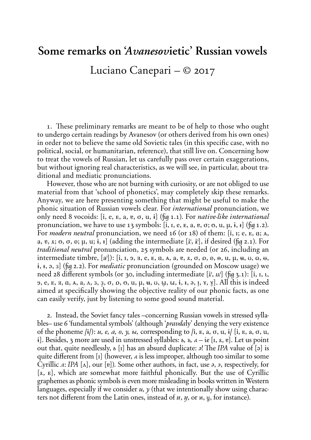## **Some remarks on '***Avanesov***ietic' Russian vowels** Luciano Canepari – *©* 2017

1. These preliminary remarks are meant to be of help to those who ought to undergo certain readings by Avanesov (or others derived from his own ones) in order not to believe the same old Sovietic tales (in this specific case, with no political, social, or humanitarian, reference), that still live on. Concerning how to treat the vowels of Russian, let us carefully pass over certain exaggerations, but without ignoring real characteristics, as we will see, in particular, about traditional and mediatic pronunciations.

However, those who are not burning with curiosity, or are not obliged to use material from that 'school of phonetics', may completely skip these remarks. Anyway, we are here presenting something that might be useful to make the phonic situation of Russian vowels clear. For *international* pronunciation, we only need 8 vocoids: **(i, E, e, a, à, o, u, y)** (˙ 1.1). For *native-like international* pronunciation, we have to use 13 symbols:  $[i, i, e, e, a, e, \sigma; \sigma, u, \mu, i, I]$  ( $[iq 1.2)$ . For *modern neutral* pronunciation, we need 16 (or 18) of them: [i, i; e, E, a; A, a, e,  $\alpha$ ;  $\alpha$ ,  $\alpha$ ,  $\beta$ ;  $\mu$ ,  $\mu$ ;  $\dot{\mathbf{i}}$ ,  $\mathbf{r}$ } (adding the intermediate  $[\dot{\mathbf{i}}^{\mu}, \dot{\mathbf{i}}^{\nu}]$ , if desired ( $[\dot{\mathbf{u}}^{\mu}, 2.1)$ ). For *traditional neutral* pronunciation, 25 symbols are needed (or 26, including an intermediate timbre,  $[a^i]$ ):  $[i, i, 9, 4, e, E, a, A, a, e, x, \sigma, 0, e, e, u, \mu, u, \sigma, 0, \sigma, \sigma,$ **i**, **H**, **a**, **a**) (fig **2.2**). For *mediatic* pronunciation (grounded on Moscow usage) we need 28 different symbols (or 30, including intermediate [i],  $\mu$ <sup>]</sup> ( $\mu$ <sub>3</sub>.1): [i,  $\mu$ , **È, E, e, ™, É, °, a, Ô, å, Ì, o, Ø, O, u, U, î, í, õ, ï, y, Y, Å, Û,** *X***,** *"***)**. All this is indeed aimed at specifically showing the objective reality of our phonic facts, as one can easily verify, just by listening to some good sound material.

2. Instead, the Soviet fancy tales –concerning Russian vowels in stressed syllables– use 6 'fundamental symbols' (although '*pravda*ly' denying the very existence of the phoneme  $\ket{i}$ : *u*, *e*, *a*, *o*, *y*, *w*, corresponding to  $\ket{i}$ ,  $\ket{E}$ ,  $\ket{a}$ ,  $\ket{a}$ ,  $\ket{e}$ ,  $\ket{a}$ ,  $\ket{a}$ ,  $\ket{a}$ ,  $\ket{a}$ ,  $\ket{a}$ ,  $\ket{a}$ ,  $\ket{a}$ ,  $\ket{a}$ ,  $\ket{a}$ ,  $\ket{a}$ ,  $\ket{a}$ ,  $\ket{a}$ ,  $\mathbf{i}$ . Besides, 3 more are used in unstressed syllables: *b*, *b*, *a* –  $\mathbf{i}e$  [I,  $\mathbf{x}$ ,  $\mathbf{e}$ ]. Let us point out that, quite needlessly,  $\boldsymbol{b}$  [i] has an absurd duplicate:  $\boldsymbol{c}$ ! The *IPA* value of [ə] is quite different from  $\begin{bmatrix} 1 \end{bmatrix}$  (however, *A* is less improper, although too similar to some Cyrillic *n*: *IPA* [A], our [e]). Some other authors, in fact, use *a*, *a*, respectively, for **(A, e)**, which are somewhat more faithful phonically. But the use of Cyrillic graphemes as phonic symbols is even more misleading in books written in Western languages, especially if we consider  $u$ ,  $\gamma$  (that we intentionally show using characters not different from the Latin ones, instead of  $u$ ,  $y$ , or  $u$ ,  $y$ , for instance).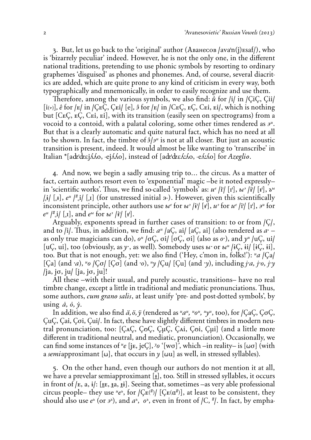3. But, let us go back to the 'original' author (Аванесов /ava'n(j) esaf/), who is 'bizarrely peculiar' indeed. However, he is not the only one, in the different national traditions, pretending to use phonic symbols by resorting to ordinary graphemes 'disguised' as phones and phonemes. And, of course, several diacritics are added, which are quite prone to any kind of criticism in every way, both typographically and mnemonically, in order to easily recognize and use them.

Therefore, among the various symbols, we also find:  $\hat{u}$  for /i/ in /ÇiÇ, Çii/  $[i\rightarrow]$ ,  $\hat{e}$  for  $|E|$  in  $|\text{CEC}$ ,  $\text{CEi}/|e|$ ,  $\hat{e}$  for  $|E|$  in  $|\text{CEC}$ ,  $E$ ,  $E$ ,  $E$ ,  $E$ ,  $E$ ,  $\hat{e}$ ,  $E$ ), which is nothing but **[CEC, EC, CEI, EI]**, with its transition (easily seen on spectrograms) from a vocoid to a contoid, with a palatal coloring, some other times rendered as  $3^u$ . But that is a clearly automatic and quite natural fact, which has no need at all to be shown. In fact, the timbre of  $\frac{3}{4}$  is not at all closer. But just an acoustic transition is present, indeed. It would almost be like wanting to 'transcribe' in Italian **\*(aQ'QEjLLo, -ejLLo)**, instead of **(aQ'QEL:Lo, -eL:Lo)** for *Azeglio*.

4. And now, we begin a sadly amusing trip to… the circus. As a matter of fact, certain authors resort even to 'exponential' magic –be it noted expressly– in 'scientific works'. Thus, we find so-called 'symbols' as:  $u^e /i^l / [i^l], u^v / i^l / [i^l], \tilde{v}^u$  $\left| \frac{1}{x} \right| \left| \frac{1}{x} \right| \left| \frac{1}{x} \right| \left| \frac{1}{x} \right|$  (for unstressed initial  $\frac{1}{x}$ ). However, given this scientifically inconsistent principle, other authors use  $u^e$  for  $u^g$  /i<sup>i</sup>/ [i],  $u^g$  for  $u^e$  /i<sup>i</sup>/ [i],  $g^u$  for  $e^{u}$   $\vert \cdot \cdot \cdot \vert$   $\vert$   $\cdot \vert$ , and  $e^{u}$  for  $u^{v}$   $\vert \cdot \vert$   $\vert \cdot \vert$ .

Arguably, exponents spread in further cases of transition: to or from  $|C|$ , and to /i/. Thus, in addition, we find:  $a^u$  /aC, ai/ [aC, ai] (also rendered as  $a^i$  – as only true magicians can do),  $o^u / \sigma C$ ,  $\sigma i / [\sigma C, \sigma i]$  (also as  $o^$ ), and  $\gamma^u / \mu C$ ,  $ui/$ [uÇ, ui], too (obviously, as *y*<sup>-</sup>, as well). Somebody uses *v*<sup> $\cdot$ </sup> or *v*<sup> $\mu$ </sup> /iC, ii/ [iC, ii], too. But that is not enough, yet: we also find ('Hey, c'mon in, folks!'):  $a \nvert Qa \rvert$ **(9a)** (and \_*a*), *\$o* **/9o/ (9o)** (and \_*o*), *\$y* **/9u/ (9u)** (and \_*y*), including *j*\_*a, j*\_*o, j*\_*y* **/ja, jo, ju/ (ja, jo, ju)**!

All these –with their usual, and purely acoustic, transitions– have no real timbre change, except a little in traditional and mediatic pronunciations. Thus, some authors, *cum grano salis*, at least unify 'pre- and post-dotted symbols', by using  $\dot{a}$ ,  $\dot{o}$ ,  $\dot{y}$ .

In addition, we also find  $\ddot{a}, \ddot{o}, \ddot{y}$  (rendered as  $^{\mu}a^{\mu}$ ,  $^{\mu}o^{\mu}$ ,  $^{\mu}y^{\mu}$ , too), for /CaC, C $\sigma$ C, **9u9, 9ai, 9oi, 9ui/**. In fact, these have slightly di‡erent timbres in modern neutral pronunciation, too: [CAC, CoC, CuC, Cai, Coi, Cui] (and a little more different in traditional neutral, and mediatic, pronunciation). Occasionally, we can find some instances of <sup>*ue*</sup> [jE, jeÇ], <sup>y</sup>o '[wo]<sup>'</sup>, which –in reality– is [wo] (with a *semi*approximant [ $\omega$ ], that occurs in  $\gamma$  [ $\omega$ u] as well, in stressed syllables).

5. On the other hand, even though our authors do not mention it at all, we have a prevelar semiapproximant [**I**], too. Still in stressed syllables, it occurs in front of  $\ell$ <sub>E</sub>, a, i $\ell$ : [ $_{\text{LE}}$ ,  $_{\text{EA}}$ ,  $_{\text{H}}$ ]. Seeing that, sometimes –as very able professional circus people– they use  $^{\mu}e^{\lambda}$ , for  $\sqrt{C_{E}(\mu)}$  [ $C_{E}(\alpha^{\mu})$ ], at least to be consistent, they should also use  $e^{\nu}$  (or  $\overline{\nu}^{\nu}$ ), and  $a^{\nu}$ ,  $\overline{\nu}^{\nu}$ , even in front of *|C*,  $^{\#}$ *l*. In fact, by empha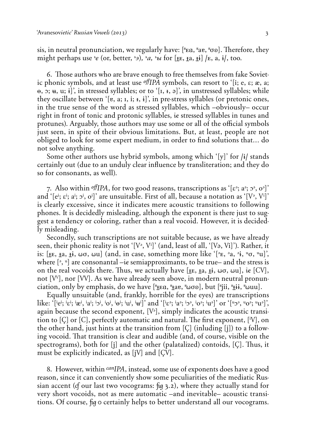sis, in neutral pronunciation, we regularly have:  $[$ <sup> $#$ </sup>Ea,  $#$ a $e$ ,  $#$  $\sigma$  $\delta$ ). Therefore, they might perhaps use *e* (or, better, *e*<sup>2</sup>), *e*<sub>a</sub>, *e*<sup>2</sup> for [HE, Ha, Hi] /E, a, i/, too.

6. Those authors who are brave enough to free themselves from fake Sovietic phonic symbols, and at least use  $\partial f$ *IPA* symbols, can resort to '[i; e,  $\varepsilon$ ;  $\hat{\mathbf{z}}$ , a;  $\theta$ ,  $\theta$ ;  $\theta$ ;  $\theta$ ;  $\theta$ ; in stressed syllables; or to  $\theta$ ,  $\theta$ ,  $\theta$ ,  $\theta$ , in unstressed syllables; while they oscillate between '[e, a; i, i; i, i]', in pre-stress syllables (or pretonic ones, in the true sense of the word as stressed syllables, which –obviously– occur right in front of tonic and protonic syllables, ie stressed syllables in tunes and protunes). Arguably, those authors may use some or all of the official symbols just seen, in spite of their obvious limitations. But, at least, people are not obliged to look for some expert medium, in order to find solutions that… do not solve anything.

Some other authors use hybrid symbols, among which '**(y)**' for **/y/** stands certainly out (due to an unduly clear influence by transliteration; and they do so for consonants, as well).

7. Also within *offIPA*, for two good reasons, transcriptions as '[ $\epsilon$ <sup>3</sup>; a<sup>3</sup>; 0<sup>3</sup>]' and  $\lq$   $[e^i; e^i; a^i; o^i, o^i]\rceil$  are unsuitable. First of all, because a notation as  $\lq [V^{\flat}, V^i]\rceil$ is clearly excessive, since it indicates mere acoustic transitions to following phones. It is decidedly misleading, although the exponent is there just to suggest a tendency or coloring, rather than a real vocoid. However, it is decidedly misleading.

Secondly, such transcriptions are not suitable because, as we have already seen, their phonic reality is not '**(***é***<sup>È</sup> ,** *é***<sup>i</sup> )**' (and, least of all, '**(***é***È,** *é***i)**'). Rather, it is: **(<e, <a, <y, >o, >u)** (and, in case, something more like '**(<sup>È</sup> e, <sup>È</sup> a, <sup>È</sup> y, uo, uu)**', where [3, u] are consonantal – $i$ e semiapproximants, to be true– and the stress is on the real vocoids there. Thus, we actually have  $[\mathbf{f}_k, \mathbf{f}_k, \mathbf{f}_k, \mathbf{f}_k, \mathbf{f}_k]$ ,  $[\mathbf{C}V]$ , not **(***éé***)**, nor **(***éé***)**. As we have already seen above, in modern neutral pronunciation, only by emphasis, do we have [" $_1$ Ea, " $_2$ ae, " $\omega$ oo], but ["jii, " $_3$ ii, " $\omega$ uu].

Equally unsuitable (and, frankly, horrible for the eyes) are transcriptions like: '[<sup>i</sup>e<sup>i</sup>; <sup>i</sup>ɛ<sup>i</sup>; <sup>i</sup>æ<sup>i</sup>, <sup>i</sup>a<sup>i</sup>; <sup>i</sup>ɔ<sup>i</sup>, <sup>i</sup>o<sup>i</sup>, <sup>i</sup>o<sup>i</sup>; <sup>i</sup>u<sup>i</sup>, <sup>i</sup>u<sup>i</sup>]' and '[<sup>i</sup>ɛª; <sup>i</sup>aª; <sup>i</sup>ɔª, <sup>i</sup>oª; <sup>i</sup>uª]' or '[ªɔª, ªoª; ªuª]', again because the second exponent, **(***é***<sup>È</sup> )**, simply indicates the acoustic transition to [Ç] or [C], perfectly automatic and natural. The first exponent, [iV], on the other hand, just hints at the transition from **(9)** (inluding **(j)**) to a following vocoid. That transition is clear and audible (and, of course, visible on the spectrograms), both for [j] and the other (palatalized) contoids, [C]. Thus, it must be explicitly indicated, as [iV] and [CV].

8. However, within *canIPA*, instead, some use of exponents does have a good reason, since it can conveniently show some peculiarities of the mediatic Russian accent ( $\sigma$  our last two vocograms:  $\sigma$  3.2), where they actually stand for very short vocoids, not as mere automatic –and inevitable– acoustic transitions. Of course,  $\mu$  o certainly helps to better understand all our vocograms.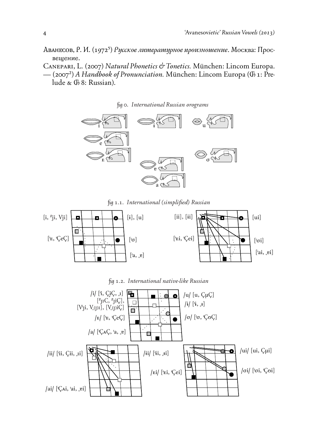- ABAHECOB, P. *V.* (1972<sup>5</sup>) *Русское литературное произношение*. Москва: Просвещение.
- Canepari, L. (2007) *Natural Phonetics " Tonetics.* München: Lincom Europa. — (2007") *A Handbook of Pronunciation.* München: Lincom Europa (Ã 1: Prelude &  $\Phi$  8: Russian).





˙ 1.1. *International (simplified) Russian*





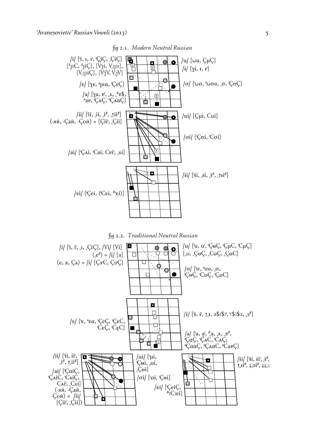

fig 2.1. Modern Neutral Russian